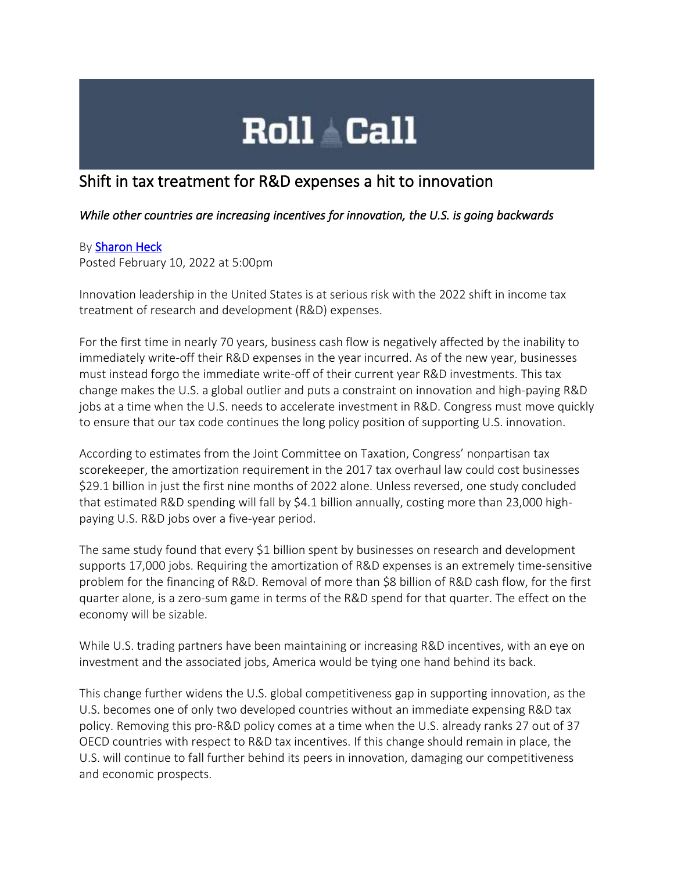## **Roll Call**

## Shift in tax treatment for R&D expenses a hit to innovation

## *While other countries are increasing incentives for innovation, the U.S. is going backwards*

## By [Sharon Heck](https://www.rollcall.com/author/sharon-heck/)

Posted February 10, 2022 at 5:00pm

Innovation leadership in the United States is at serious risk with the 2022 shift in income tax treatment of research and development (R&D) expenses.

For the first time in nearly 70 years, business cash flow is negatively affected by the inability to immediately write-off their R&D expenses in the year incurred. As of the new year, businesses must instead forgo the immediate write-off of their current year R&D investments. This tax change makes the U.S. a global outlier and puts a constraint on innovation and high-paying R&D jobs at a time when the U.S. needs to accelerate investment in R&D. Congress must move quickly to ensure that our tax code continues the long policy position of supporting U.S. innovation.

According to estimates from the Joint Committee on Taxation, Congress' nonpartisan tax scorekeeper, the amortization requirement in the 2017 tax overhaul law could cost businesses \$29.1 billion in just the first nine months of 2022 alone. Unless reversed, one study concluded that estimated R&D spending will fall by \$4.1 billion annually, costing more than 23,000 highpaying U.S. R&D jobs over a five-year period.

The same study found that every \$1 billion spent by businesses on research and development supports 17,000 jobs. Requiring the amortization of R&D expenses is an extremely time-sensitive problem for the financing of R&D. Removal of more than \$8 billion of R&D cash flow, for the first quarter alone, is a zero-sum game in terms of the R&D spend for that quarter. The effect on the economy will be sizable.

While U.S. trading partners have been maintaining or increasing R&D incentives, with an eye on investment and the associated jobs, America would be tying one hand behind its back.

This change further widens the U.S. global competitiveness gap in supporting innovation, as the U.S. becomes one of only two developed countries without an immediate expensing R&D tax policy. Removing this pro-R&D policy comes at a time when the U.S. already ranks 27 out of 37 OECD countries with respect to R&D tax incentives. If this change should remain in place, the U.S. will continue to fall further behind its peers in innovation, damaging our competitiveness and economic prospects.